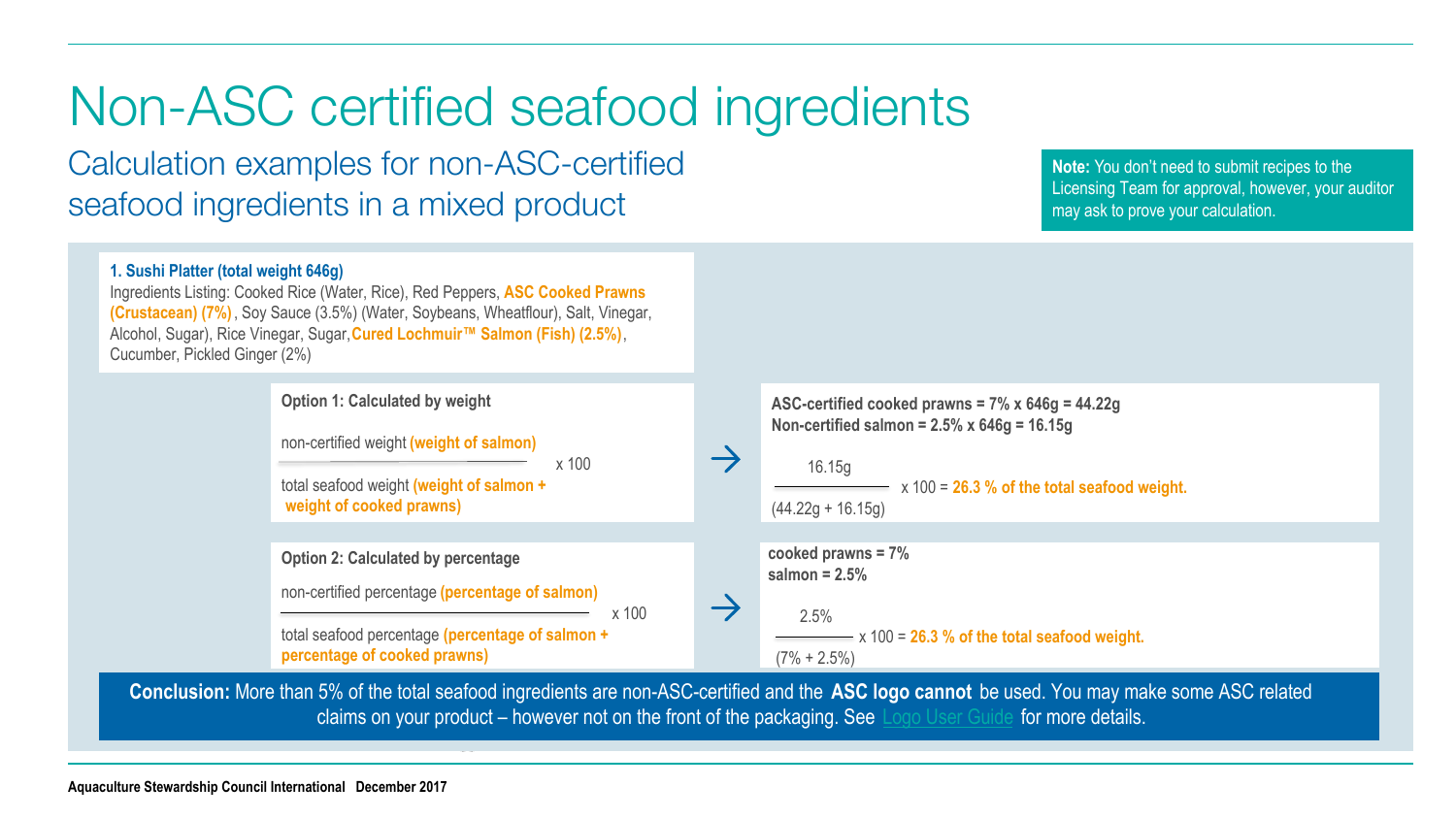## Non-ASC certified seafood ingredients

Calculation examples for non-ASC-certified seafood ingredients in a mixed product

**Note:** You don't need to submit recipes to the Licensing Team for approval, however, your auditor may ask to prove your calculation.



**Conclusion:** More than 5% of the total seafood ingredients are non-ASC-certified and the **ASC logo cannot** be used. You may make some ASC related claims on your product – however not on the front of the packaging. See [Logo User Guide](https://www.asc-aqua.org/wp-content/uploads/2017/12/ASC-Logo-User-Guide.pdf) for more details.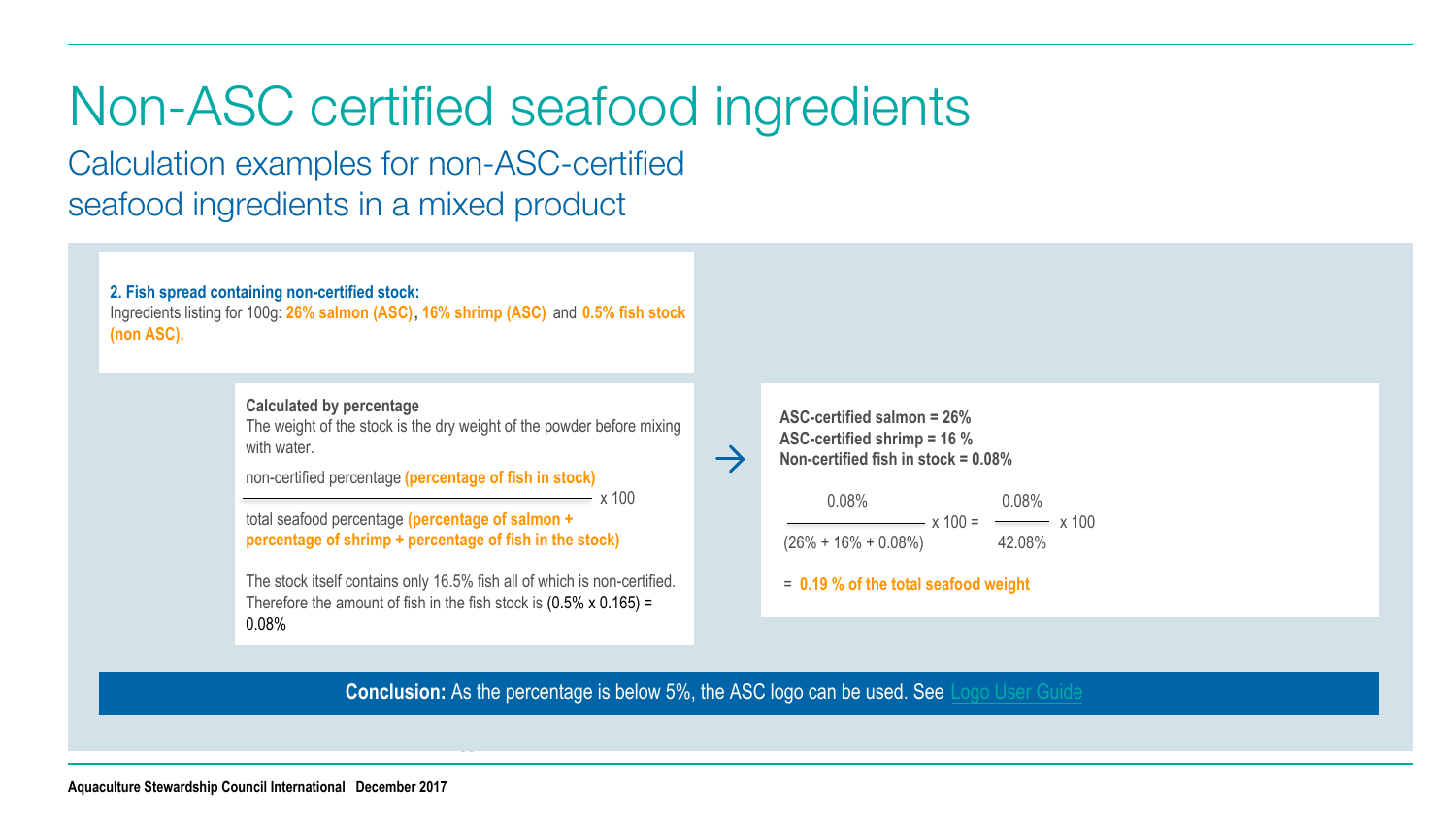## Non-ASC certified seafood ingredients

Calculation examples for non-ASC-certified seafood ingredients in a mixed product

**2. Fish spread containing non-certified stock:** Ingredients listing for 100g: **26% salmon (ASC), 16% shrimp (ASC)** and **0.5% fish stock (non ASC).**

> **Calculated by percentage** The weight of the stock is the dry weight of the powder before mixing with water.

non-certified percentage **(percentage of fish in stock)**

total seafood percentage **(percentage of salmon + percentage of shrimp + percentage of fish in the stock)**

The stock itself contains only 16.5% fish all of which is non-certified. Therefore the amount of fish in the fish stock is  $(0.5\% \times 0.165) =$ 0.08%

**ASC-certified salmon = 26% ASC-certified shrimp = 16 % Non-certified fish in stock = 0.08%**

0.08% 0.08%  $x 100 =$   $x 100$  $(26\% + 16\% + 0.08\%)$  42.08%

= **0.19 % of the total seafood weight**

**Conclusion:** As the percentage is below 5%, the ASC logo can be used. See [Logo User Guide](https://www.asc-aqua.org/wp-content/uploads/2017/12/ASC-Logo-User-Guide.pdf)

 $\rightarrow$ 

 $- x 100$